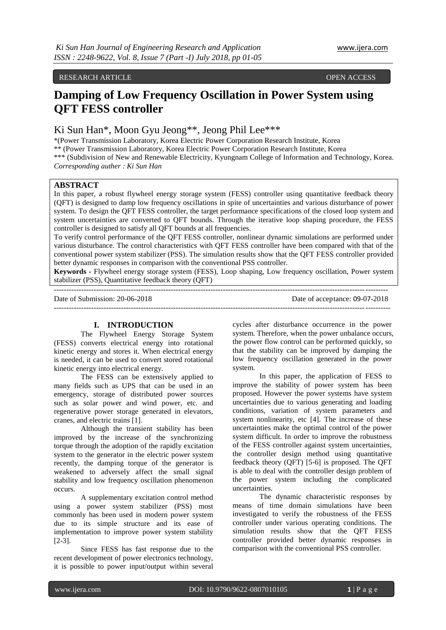#### RESEARCH ARTICLE **CONSERVERS** OPEN ACCESS OPEN ACCESS OPEN ASSESSED OF A LIMIT OF A LIMIT OF A LIMIT OF A LIMIT OF A LIMIT OF A LIMIT OF A LIMIT OF A LIMIT OF A LIMIT OF A LIMIT OF A LIMIT OF A LIMIT OF A LIMIT OF A LIMIT

# **Damping of Low Frequency Oscillation in Power System using QFT FESS controller**

# Ki Sun Han\*, Moon Gyu Jeong\*\*, Jeong Phil Lee\*\*\*

\*(Power Transmission Laboratory, Korea Electric Power Corporation Research Institute, Korea \*\* (Power Transmission Laboratory, Korea Electric Power Corporation Research Institute, Korea \*\*\* (Subdivision of New and Renewable Electricity, Kyungnam College of Information and Technology, Korea. *Corresponding auther : Ki Sun Han*

# **ABSTRACT**

In this paper, a robust flywheel energy storage system (FESS) controller using quantitative feedback theory (QFT) is designed to damp low frequency oscillations in spite of uncertainties and various disturbance of power system. To design the QFT FESS controller, the target performance specifications of the closed loop system and system uncertainties are converted to QFT bounds. Through the iterative loop shaping procedure, the FESS controller is designed to satisfy all QFT bounds at all frequencies.

To verify control performance of the QFT FESS controller, nonlinear dynamic simulations are performed under various disturbance. The control characteristics with QFT FESS controller have been compared with that of the conventional power system stabilizer (PSS). The simulation results show that the QFT FESS controller provided better dynamic responses in comparison with the conventional PSS controller.

**Keywords -** Flywheel energy storage system (FESS), Loop shaping, Low frequency oscillation, Power system stabilizer (PSS), Quantitative feedback theory (QFT) --------------------------------------------------------------------------------------------------------------------------------------

Date of Submission: 20-06-2018 Date of acceptance: 09-07-2018 ---------------------------------------------------------------------------------------------------------------------------------------

## **I. INTRODUCTION**

The Flywheel Energy Storage System (FESS) converts electrical energy into rotational kinetic energy and stores it. When electrical energy is needed, it can be used to convert stored rotational kinetic energy into electrical energy.

The FESS can be extensively applied to many fields such as UPS that can be used in an emergency, storage of distributed power sources such as solar power and wind power, etc. and regenerative power storage generated in elevators, cranes, and electric trains [1].

Although the transient stability has been improved by the increase of the synchronizing torque through the adoption of the rapidly excitation system to the generator in the electric power system recently, the damping torque of the generator is weakened to adversely affect the small signal stability and low frequency oscillation phenomenon occurs.

A supplementary excitation control method using a power system stabilizer (PSS) most commonly has been used in modern power system due to its simple structure and its ease of implementation to improve power system stability [2-3].

Since FESS has fast response due to the recent development of power electronics technology, it is possible to power input/output within several

cycles after disturbance occurrence in the power system. Therefore, when the power unbalance occurs, the power flow control can be performed quickly, so that the stability can be improved by damping the low frequency oscillation generated in the power system.

In this paper, the application of FESS to improve the stability of power system has been proposed. However the power systems have system uncertainties due to various generating and loading conditions, variation of system parameters and system nonlinearity, etc [4]. The increase of these uncertainties make the optimal control of the power system difficult. In order to improve the robustness of the FESS controller against system uncertainties, the controller design method using quantitative feedback theory (QFT) [5-6] is proposed. The QFT is able to deal with the controller design problem of the power system including the complicated uncertainties.

The dynamic characteristic responses by means of time domain simulations have been investigated to verify the robustness of the FESS controller under various operating conditions. The simulation results show that the QFT FESS controller provided better dynamic responses in comparison with the conventional PSS controller.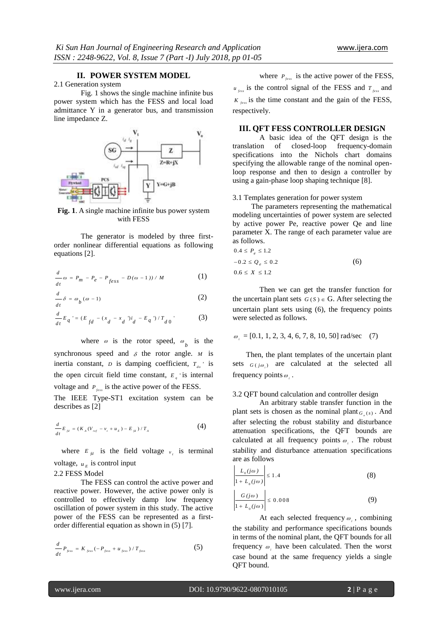# **II. POWER SYSTEM MODEL**

## 2.1 Generation system

Fig. 1 shows the single machine infinite bus power system which has the FESS and local load admittance Y in a generator bus, and transmission line impedance Z.



**Fig. 1**. A single machine infinite bus power system with FESS

The generator is modeled by three firstorder nonlinear differential equations as following equations [2].

$$
\frac{d}{dt}\omega = P_m - P_e - P_{fess} - D(\omega - 1)) / M \tag{1}
$$

$$
\frac{d}{dt}\delta = \omega_b(\omega - 1) \tag{2}
$$

$$
\frac{d}{dt}E_q = (E_{fd} - (x_d - x_d))i_d - E_q \sqrt{T_{d0}} \tag{3}
$$

where  $\omega$  is the rotor speed,  $\omega_b$  is the synchronous speed and  $\delta$  the rotor angle.  $M$  is inertia constant, *D* is damping coefficient,  $T_{d0}$  is the open circuit field time constant,  $E_q$  is internal voltage and  $P_{fess}$  is the active power of the FESS.

The IEEE Type-ST1 excitation system can be describes as [2]

$$
\frac{d}{dt}E_{\scriptscriptstyle{Jd}}=(K_{\scriptscriptstyle{A}}(V_{\scriptscriptstyle{ref}}-v_{\scriptscriptstyle{t}}+u_{\scriptscriptstyle{E}})-E_{\scriptscriptstyle{Jd}})/T_{\scriptscriptstyle{A}} \tag{4}
$$

where  $E_{fd}$  is the field voltage  $v_t$  is terminal voltage,  $u_E$  is control input 2.2 FESS Model

The FESS can control the active power and reactive power. However, the active power only is controlled to effectively damp low frequency oscillation of power system in this study. The active power of the FESS can be represented as a firstorder differential equation as shown in (5) [7].

$$
\frac{d}{dt}P_{fess} = K_{fess}(-P_{fess} + u_{fess})/T_{fess}
$$
\n(5)

where  $P_{\text{fess}}$  is the active power of the FESS,  $u_{\text{fess}}$  is the control signal of the FESS and  $T_{\text{fess}}$  and  $K_{fess}$  is the time constant and the gain of the FESS, respectively.

## **III. QFT FESS CONTROLLER DESIGN**

A basic idea of the QFT design is the translation of closed-loop frequency-domain specifications into the Nichols chart domains specifying the allowable range of the nominal openloop response and then to design a controller by using a gain-phase loop shaping technique [8].

#### 3.1 Templates generation for power system

The parameters representing the mathematical modeling uncertainties of power system are selected by active power Pe, reactive power Qe and line parameter X. The range of each parameter value are as follows.

$$
0.4 \le P_e \le 1.2
$$
  
-0.2 \le Q\_e \le 0.2  

$$
0.6 \le X \le 1.2
$$
 (6)

Then we can get the transfer function for the uncertain plant sets  $G(S) \in G$ . After selecting the uncertain plant sets using (6), the frequency points were selected as follows.

$$
\omega_i = [0.1, 1, 2, 3, 4, 6, 7, 8, 10, 50]
$$
 rad/sec (7)

Then, the plant templates of the uncertain plant sets  $G(j\omega_i)$  are calculated at the selected all frequency points  $\omega_i$ .

#### 3.2 QFT bound calculation and controller design

An arbitrary stable transfer function in the plant sets is chosen as the nominal plant  $G_s(s)$ . And after selecting the robust stability and disturbance attenuation specifications, the QFT bounds are calculated at all frequency points  $\omega_i$ . The robust stability and disturbance attenuation specifications are as follows  $\mathbf{L}$ 

$$
\left|\frac{L_0(j\omega)}{1 + L_0(j\omega)}\right| \le 1.4
$$
\n(8)  
\n
$$
\left|\frac{G(j\omega)}{1 + L_0(j\omega)}\right| \le 0.008
$$
\n(9)

 $\blacksquare$ 

At each selected frequency  $\omega_i$ , combining the stability and performance specifications bounds in terms of the nominal plant, the QFT bounds for all frequency  $\omega_i$  have been calculated. Then the worst case bound at the same frequency yields a single QFT bound.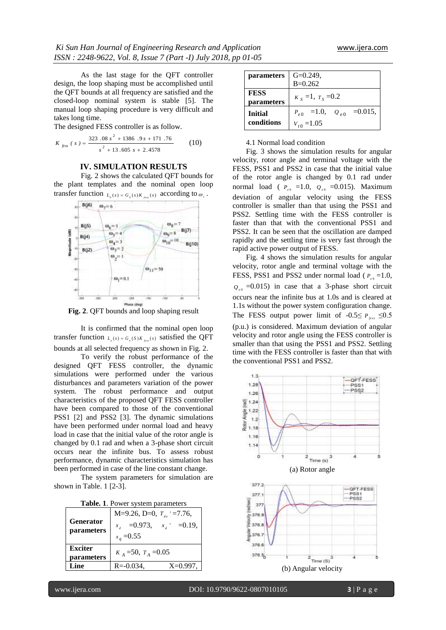As the last stage for the QFT controller design, the loop shaping must be accomplished until the QFT bounds at all frequency are satisfied and the closed-loop nominal system is stable [5]. The manual loop shaping procedure is very difficult and takes long time.

The designed FESS controller is as follow.

$$
K_{fess} (s) = \frac{323.08 s^2 + 1386.9 s + 171.76}{s^2 + 13.605 s + 2.4578}
$$
 (10)

### **IV. SIMULATION RESULTS**

Fig. 2 shows the calculated QFT bounds for the plant templates and the nominal open loop



**Fig. 2**. QFT bounds and loop shaping result

It is confirmed that the nominal open loop transfer function  $L_{\rho}(s) = G_{\rho}(s)K_{\rho e s}(s)$  satisfied the QFT bounds at all selected frequency as shown in Fig. 2.

To verify the robust performance of the designed QFT FESS controller, the dynamic simulations were performed under the various disturbances and parameters variation of the power system. The robust performance and output characteristics of the proposed QFT FESS controller have been compared to those of the conventional PSS1 [2] and PSS2 [3]. The dynamic simulations have been performed under normal load and heavy load in case that the initial value of the rotor angle is changed by 0.1 rad and when a 3-phase short circuit occurs near the infinite bus. To assess robust performance, dynamic characteristics simulation has been performed in case of the line constant change.

The system parameters for simulation are shown in Table. 1 [2-3].

|  |  |  |  | Table. 1. Power system parameters |
|--|--|--|--|-----------------------------------|
|--|--|--|--|-----------------------------------|

| <b>Table. I</b> . FOWER SYSTEM parameters |                                |  |  |
|-------------------------------------------|--------------------------------|--|--|
| <b>Generator</b><br>parameters            | M=9.26, D=0, $T_{40}$ =7.76,   |  |  |
|                                           | $x_a = 0.973$ , $x_a = 0.19$ , |  |  |
|                                           | $x_a = 0.55$                   |  |  |
| <b>Exciter</b>                            | $K_A = 50$ , $T_A = 0.05$      |  |  |
| parameters                                |                                |  |  |
| Line                                      | $X=0.997$ ,<br>$R = -0.034$ ,  |  |  |
|                                           |                                |  |  |

| <i>parameters</i> | $G=0.249$ ,                           |
|-------------------|---------------------------------------|
|                   | $B=0.262$                             |
| <b>FESS</b>       | $K_s = 1$ , $T_s = 0.2$               |
| parameters        |                                       |
| <b>Initial</b>    | $P_{e0} = 1.0, \quad Q_{e0} = 0.015,$ |
| conditions        | $V_{t0} = 1.05$                       |

4.1 Normal load condition

Fig. 3 shows the simulation results for angular velocity, rotor angle and terminal voltage with the FESS, PSS1 and PSS2 in case that the initial value of the rotor angle is changed by 0.1 rad under normal load ( $P_{e0} = 1.0$ ,  $Q_{e0} = 0.015$ ). Maximum deviation of angular velocity using the FESS controller is smaller than that using the PSS1 and PSS2. Settling time with the FESS controller is faster than that with the conventional PSS1 and PSS2. It can be seen that the oscillation are damped rapidly and the settling time is very fast through the rapid active power output of FESS.

Fig. 4 shows the simulation results for angular velocity, rotor angle and terminal voltage with the FESS, PSS1 and PSS2 under normal load ( $P_{e0}$  =1.0,  $Q_{\epsilon 0}$  =0.015) in case that a 3-phase short circuit occurs near the infinite bus at 1.0s and is cleared at 1.1s without the power system configuration change. The FESS output power limit of  $-0.5 \le P_{fess} \le 0.5$ (p.u.) is considered. Maximum deviation of angular velocity and rotor angle using the FESS controller is smaller than that using the PSS1 and PSS2. Settling time with the FESS controller is faster than that with the conventional PSS1 and PSS2.

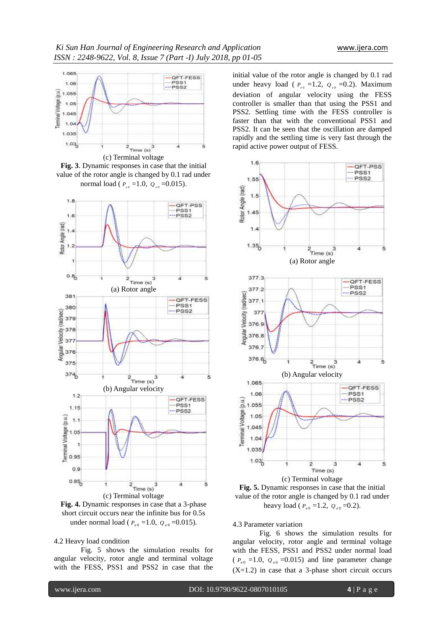

**Fig. 3**. Dynamic responses in case that the initial value of the rotor angle is changed by 0.1 rad under normal load ( $P_{e0}$  =1.0,  $Q_{e0}$  =0.015).



**Fig. 4.** Dynamic responses in case that a 3-phase short circuit occurs near the infinite bus for 0.5s under normal load ( $P_{e0} = 1.0$ ,  $Q_{e0} = 0.015$ ).

4.2 Heavy load condition

Fig. 5 shows the simulation results for angular velocity, rotor angle and terminal voltage with the FESS, PSS1 and PSS2 in case that the

initial value of the rotor angle is changed by 0.1 rad under heavy load ( $P_{e0}$  =1.2,  $Q_{e0}$  =0.2). Maximum deviation of angular velocity using the FESS controller is smaller than that using the PSS1 and PSS2. Settling time with the FESS controller is faster than that with the conventional PSS1 and PSS2. It can be seen that the oscillation are damped rapidly and the settling time is very fast through the rapid active power output of FESS.



**Fig. 5.** Dynamic responses in case that the initial value of the rotor angle is changed by 0.1 rad under heavy load ( $P_{e0} = 1.2$ ,  $Q_{e0} = 0.2$ ).

4.3 Parameter variation

Fig. 6 shows the simulation results for angular velocity, rotor angle and terminal voltage with the FESS, PSS1 and PSS2 under normal load  $(P_{e0} = 1.0, Q_{e0} = 0.015)$  and line parameter change  $(X=1.2)$  in case that a 3-phase short circuit occurs